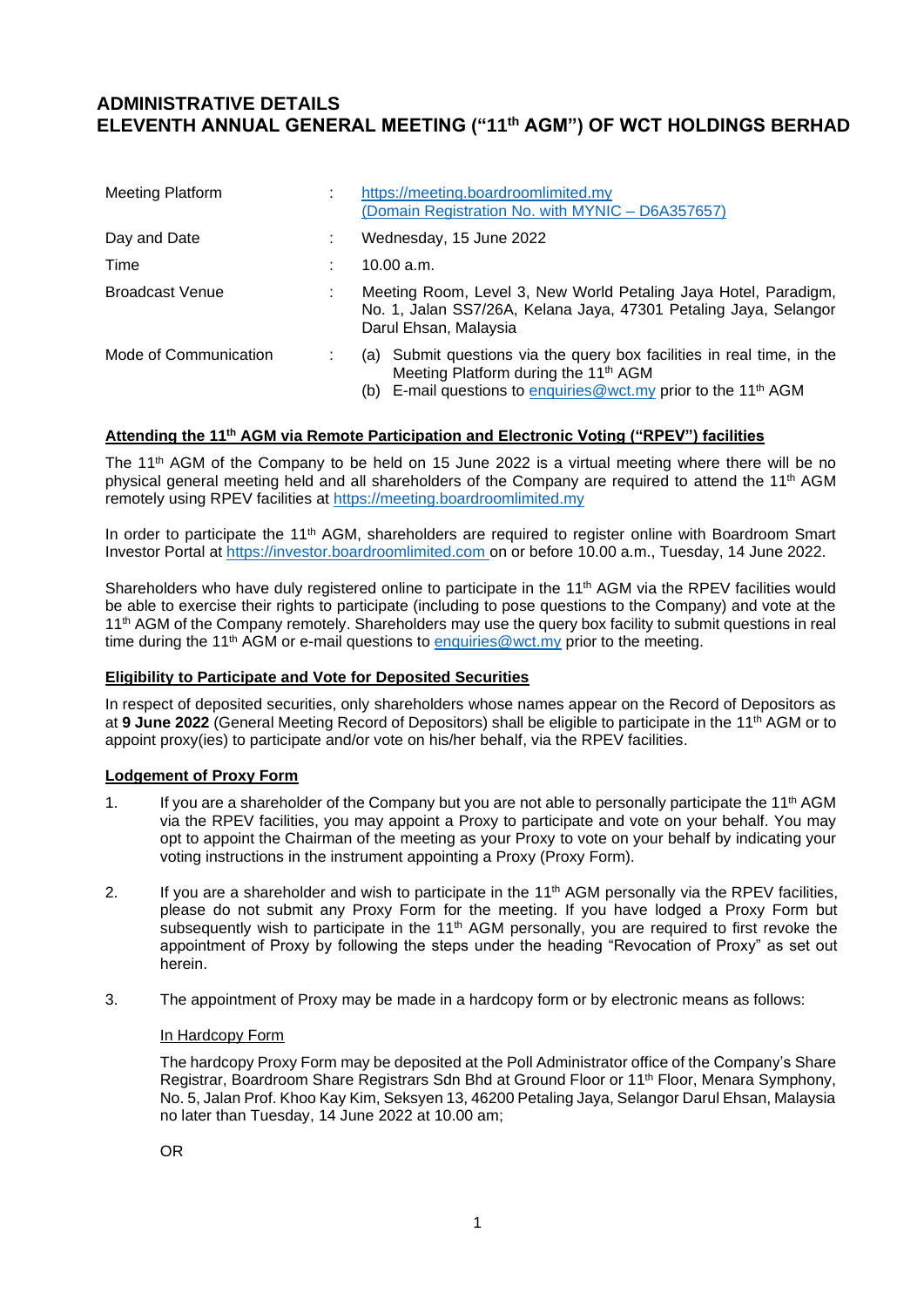# **ADMINISTRATIVE DETAILS ELEVENTH ANNUAL GENERAL MEETING ("11 th AGM") OF WCT HOLDINGS BERHAD**

| <b>Meeting Platform</b> | https://meeting.boardroomlimited.my<br>(Domain Registration No. with MYNIC - D6A357657)                                                                                                                  |
|-------------------------|----------------------------------------------------------------------------------------------------------------------------------------------------------------------------------------------------------|
| Day and Date            | Wednesday, 15 June 2022                                                                                                                                                                                  |
| Time                    | 10.00 a.m.                                                                                                                                                                                               |
| <b>Broadcast Venue</b>  | Meeting Room, Level 3, New World Petaling Jaya Hotel, Paradigm,<br>No. 1, Jalan SS7/26A, Kelana Jaya, 47301 Petaling Jaya, Selangor<br>Darul Ehsan, Malaysia                                             |
| Mode of Communication   | (a) Submit questions via the query box facilities in real time, in the<br>Meeting Platform during the 11 <sup>th</sup> AGM<br>(b) E-mail questions to enquiries@wct.my prior to the 11 <sup>th</sup> AGM |

### **Attending the 11 th AGM via Remote Participation and Electronic Voting ("RPEV") facilities**

The 11<sup>th</sup> AGM of the Company to be held on 15 June 2022 is a virtual meeting where there will be no physical general meeting held and all shareholders of the Company are required to attend the 11<sup>th</sup> AGM remotely using RPEV facilities at https://meeting.boardroomlimited.my

In order to participate the 11<sup>th</sup> AGM, shareholders are required to register online with Boardroom Smart Investor Portal at [https://investor.boardroomlimited.com](https://investor.boardroomlimited.com/) on or before 10.00 a.m., Tuesday, 14 June 2022.

Shareholders who have duly registered online to participate in the 11<sup>th</sup> AGM via the RPEV facilities would be able to exercise their rights to participate (including to pose questions to the Company) and vote at the 11<sup>th</sup> AGM of the Company remotely. Shareholders may use the query box facility to submit questions in real time during the 11<sup>th</sup> AGM or e-mail questions to  $\frac{$ enquiries@wct.my prior to the meeting.

## **Eligibility to Participate and Vote for Deposited Securities**

In respect of deposited securities, only shareholders whose names appear on the Record of Depositors as at **9 June 2022** (General Meeting Record of Depositors) shall be eligible to participate in the 11 th AGM or to appoint proxy(ies) to participate and/or vote on his/her behalf, via the RPEV facilities.

## **Lodgement of Proxy Form**

- 1. If you are a shareholder of the Company but you are not able to personally participate the 11<sup>th</sup> AGM via the RPEV facilities, you may appoint a Proxy to participate and vote on your behalf. You may opt to appoint the Chairman of the meeting as your Proxy to vote on your behalf by indicating your voting instructions in the instrument appointing a Proxy (Proxy Form).
- 2. If you are a shareholder and wish to participate in the 11<sup>th</sup> AGM personally via the RPEV facilities, please do not submit any Proxy Form for the meeting. If you have lodged a Proxy Form but subsequently wish to participate in the  $11<sup>th</sup>$  AGM personally, you are required to first revoke the appointment of Proxy by following the steps under the heading "Revocation of Proxy" as set out herein.
- 3. The appointment of Proxy may be made in a hardcopy form or by electronic means as follows:

#### In Hardcopy Form

The hardcopy Proxy Form may be deposited at the Poll Administrator office of the Company's Share Registrar, Boardroom Share Registrars Sdn Bhd at Ground Floor or 11th Floor, Menara Symphony, No. 5, Jalan Prof. Khoo Kay Kim, Seksyen 13, 46200 Petaling Jaya, Selangor Darul Ehsan, Malaysia no later than Tuesday, 14 June 2022 at 10.00 am;

OR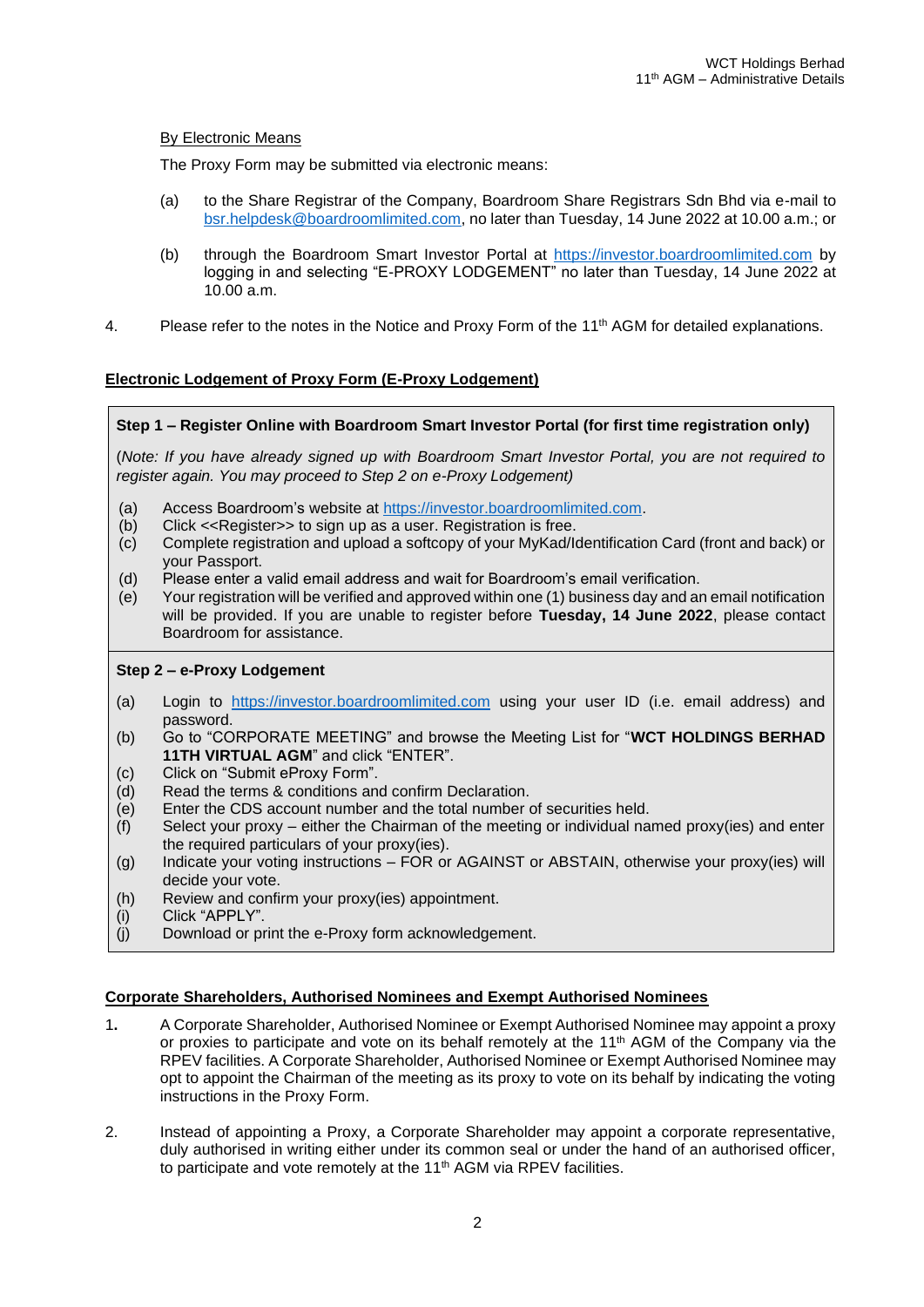## By Electronic Means

The Proxy Form may be submitted via electronic means:

- (a) to the Share Registrar of the Company, Boardroom Share Registrars Sdn Bhd via e-mail to [bsr.helpdesk@boardroomlimited.com,](mailto:bsr.helpdesk@boardroomlimited.com.) no later than Tuesday, 14 June 2022 at 10.00 a.m.; or
- (b) through the Boardroom Smart Investor Portal at [https://investor.boardroomlimited.com](https://investor.boardroomlimited.com/) by logging in and selecting "E-PROXY LODGEMENT" no later than Tuesday, 14 June 2022 at 10.00 a.m.
- 4. Please refer to the notes in the Notice and Proxy Form of the 11<sup>th</sup> AGM for detailed explanations.

# **Electronic Lodgement of Proxy Form (E-Proxy Lodgement)**

# **Step 1 – Register Online with Boardroom Smart Investor Portal (for first time registration only)**

(*Note: If you have already signed up with Boardroom Smart Investor Portal, you are not required to register again. You may proceed to Step 2 on e-Proxy Lodgement)*

- (a) Access Boardroom's website at [https://investor.boardroomlimited.com.](https://investor.boardroomlimited.com/)
- (b) Click <<Register>> to sign up as a user. Registration is free.
- (c) Complete registration and upload a softcopy of your MyKad/Identification Card (front and back) or your Passport.
- (d) Please enter a valid email address and wait for Boardroom's email verification.
- (e) Your registration will be verified and approved within one (1) business day and an email notification will be provided. If you are unable to register before **Tuesday, 14 June 2022**, please contact Boardroom for assistance.

## **Step 2 – e-Proxy Lodgement**

- (a) Login to [https://investor.boardroomlimited.com](https://investor.boardroomlimited.com/) using your user ID (i.e. email address) and password.
- (b) Go to "CORPORATE MEETING" and browse the Meeting List for "**WCT HOLDINGS BERHAD 11TH VIRTUAL AGM**" and click "ENTER".
- (c) Click on "Submit eProxy Form".
- (d) Read the terms & conditions and confirm Declaration.
- (e) Enter the CDS account number and the total number of securities held.
- (f) Select your proxy either the Chairman of the meeting or individual named proxy(ies) and enter the required particulars of your proxy(ies).
- (g) Indicate your voting instructions FOR or AGAINST or ABSTAIN, otherwise your proxy(ies) will decide your vote.
- (h) Review and confirm your proxy(ies) appointment.
- (i) Click "APPLY".
- (j) Download or print the e-Proxy form acknowledgement.

## **Corporate Shareholders, Authorised Nominees and Exempt Authorised Nominees**

- 1**.** A Corporate Shareholder, Authorised Nominee or Exempt Authorised Nominee may appoint a proxy or proxies to participate and vote on its behalf remotely at the  $11<sup>th</sup>$  AGM of the Company via the RPEV facilities. A Corporate Shareholder, Authorised Nominee or Exempt Authorised Nominee may opt to appoint the Chairman of the meeting as its proxy to vote on its behalf by indicating the voting instructions in the Proxy Form.
- 2. Instead of appointing a Proxy, a Corporate Shareholder may appoint a corporate representative, duly authorised in writing either under its common seal or under the hand of an authorised officer, to participate and vote remotely at the 11<sup>th</sup> AGM via RPEV facilities.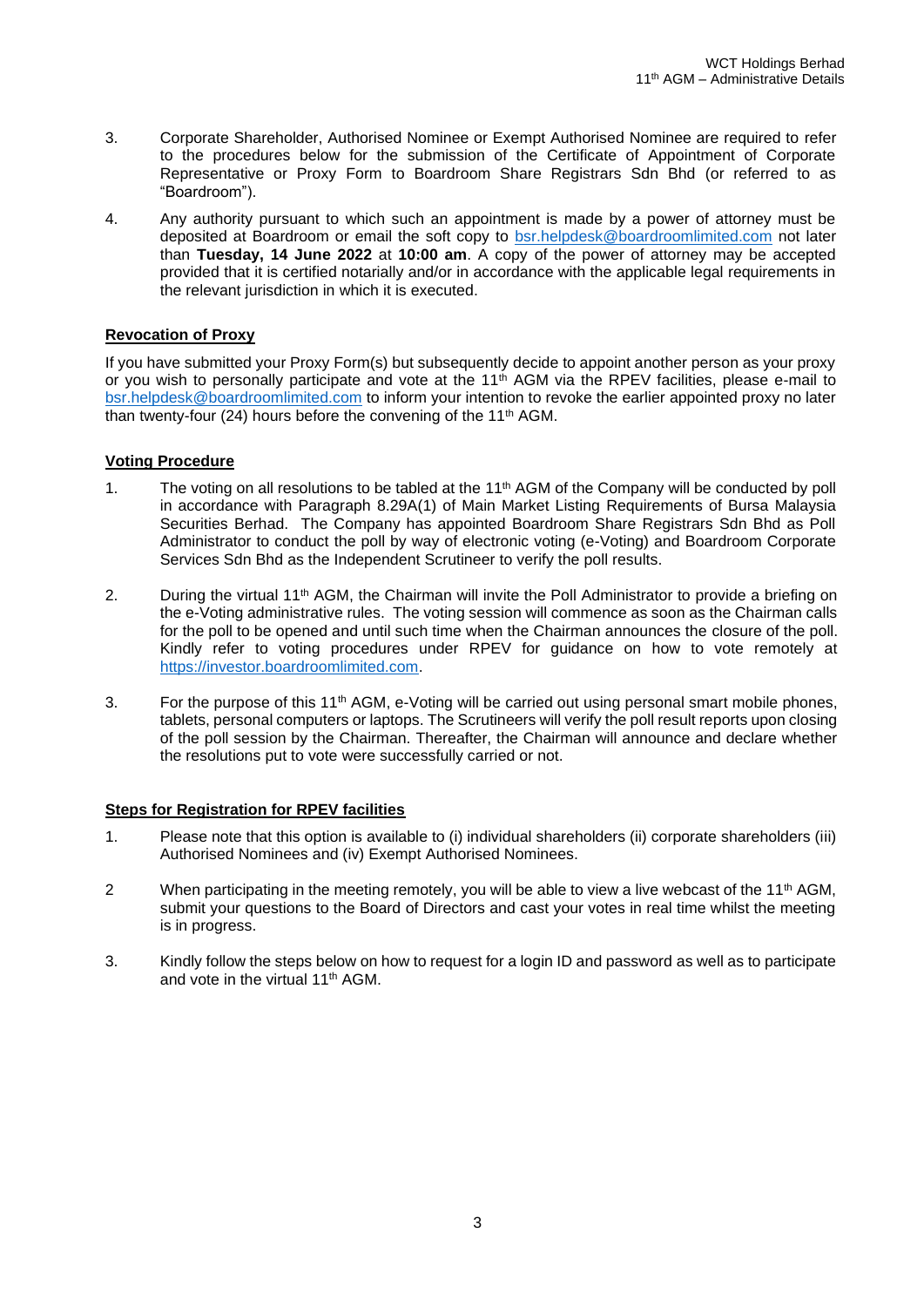- 3. Corporate Shareholder, Authorised Nominee or Exempt Authorised Nominee are required to refer to the procedures below for the submission of the Certificate of Appointment of Corporate Representative or Proxy Form to Boardroom Share Registrars Sdn Bhd (or referred to as "Boardroom").
- 4. Any authority pursuant to which such an appointment is made by a power of attorney must be deposited at Boardroom or email the soft copy to [bsr.helpdesk@boardroomlimited.com](mailto:bsr.helpdesk@boardroomlimited.com) not later than **Tuesday, 14 June 2022** at **10:00 am**. A copy of the power of attorney may be accepted provided that it is certified notarially and/or in accordance with the applicable legal requirements in the relevant jurisdiction in which it is executed.

# **Revocation of Proxy**

If you have submitted your Proxy Form(s) but subsequently decide to appoint another person as your proxy or you wish to personally participate and vote at the  $11<sup>th</sup>$  AGM via the RPEV facilities, please e-mail to [bsr.helpdesk@boardroomlimited.com](mailto:bsr.helpdesk@boardroomlimited.com) to inform your intention to revoke the earlier appointed proxy no later than twenty-four (24) hours before the convening of the 11<sup>th</sup> AGM.

# **Voting Procedure**

- 1. The voting on all resolutions to be tabled at the 11<sup>th</sup> AGM of the Company will be conducted by poll in accordance with Paragraph 8.29A(1) of Main Market Listing Requirements of Bursa Malaysia Securities Berhad. The Company has appointed Boardroom Share Registrars Sdn Bhd as Poll Administrator to conduct the poll by way of electronic voting (e-Voting) and Boardroom Corporate Services Sdn Bhd as the Independent Scrutineer to verify the poll results.
- 2. During the virtual 11<sup>th</sup> AGM, the Chairman will invite the Poll Administrator to provide a briefing on the e-Voting administrative rules. The voting session will commence as soon as the Chairman calls for the poll to be opened and until such time when the Chairman announces the closure of the poll. Kindly refer to voting procedures under RPEV for guidance on how to vote remotely at [https://investor.boardroomlimited.com.](https://investor.boardroomlimited.com/)
- 3. For the purpose of this 11<sup>th</sup> AGM, e-Voting will be carried out using personal smart mobile phones, tablets, personal computers or laptops. The Scrutineers will verify the poll result reports upon closing of the poll session by the Chairman. Thereafter, the Chairman will announce and declare whether the resolutions put to vote were successfully carried or not.

# **Steps for Registration for RPEV facilities**

- 1. Please note that this option is available to (i) individual shareholders (ii) corporate shareholders (iii) Authorised Nominees and (iv) Exempt Authorised Nominees.
- 2 When participating in the meeting remotely, you will be able to view a live webcast of the 11<sup>th</sup> AGM, submit your questions to the Board of Directors and cast your votes in real time whilst the meeting is in progress.
- 3. Kindly follow the steps below on how to request for a login ID and password as well as to participate and vote in the virtual 11th AGM.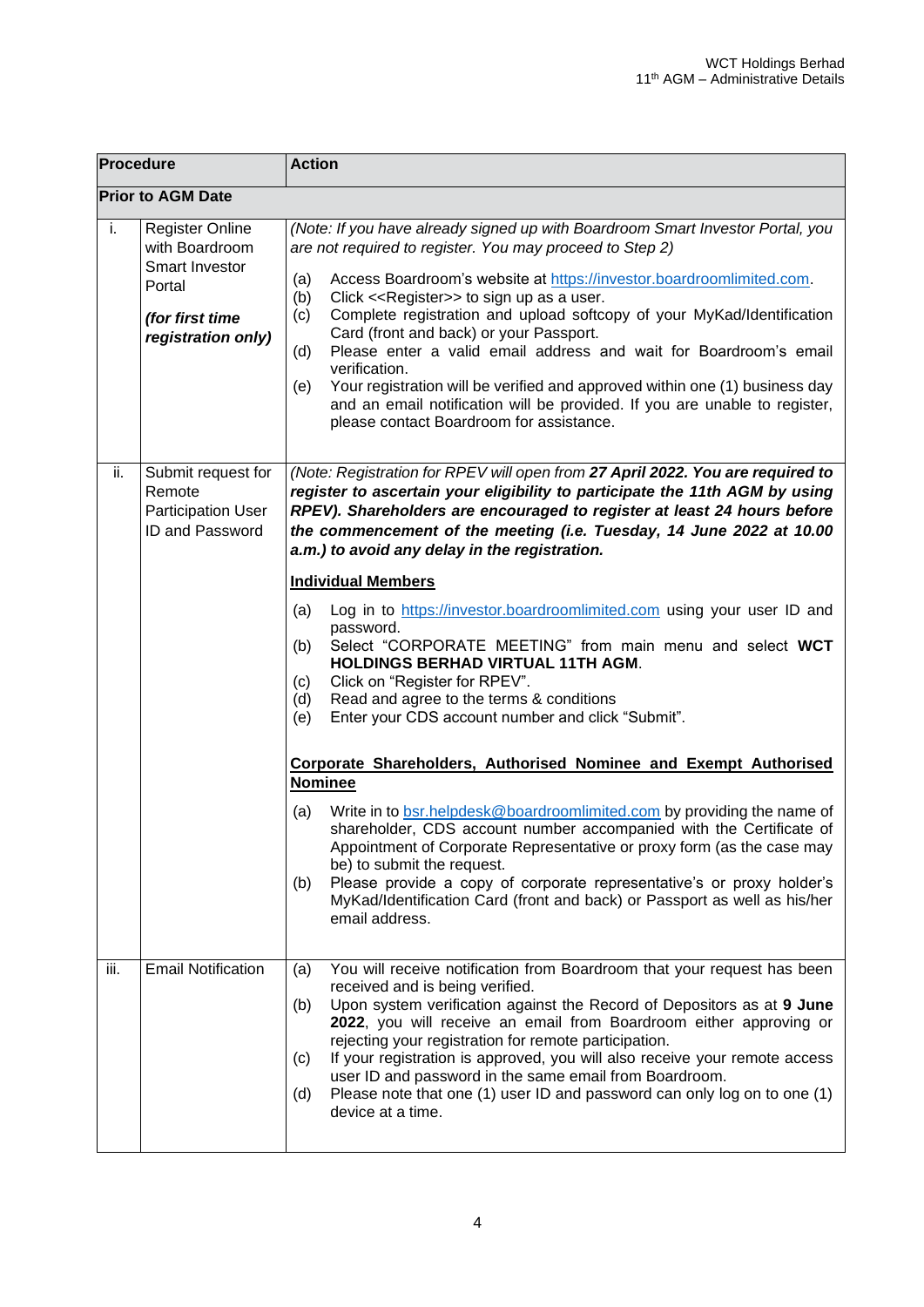| Procedure                |                                                                                                               | <b>Action</b>                                                                                                                                                                                                                                                                                                                                                                                                                                                                                                                                                                                                                                                                                                          |  |  |  |
|--------------------------|---------------------------------------------------------------------------------------------------------------|------------------------------------------------------------------------------------------------------------------------------------------------------------------------------------------------------------------------------------------------------------------------------------------------------------------------------------------------------------------------------------------------------------------------------------------------------------------------------------------------------------------------------------------------------------------------------------------------------------------------------------------------------------------------------------------------------------------------|--|--|--|
| <b>Prior to AGM Date</b> |                                                                                                               |                                                                                                                                                                                                                                                                                                                                                                                                                                                                                                                                                                                                                                                                                                                        |  |  |  |
| i.                       | <b>Register Online</b><br>with Boardroom<br>Smart Investor<br>Portal<br>(for first time<br>registration only) | (Note: If you have already signed up with Boardroom Smart Investor Portal, you<br>are not required to register. You may proceed to Step 2)<br>Access Boardroom's website at https://investor.boardroomlimited.com.<br>(a)<br>Click << Register>> to sign up as a user.<br>(b)<br>Complete registration and upload softcopy of your MyKad/Identification<br>(c)<br>Card (front and back) or your Passport.<br>Please enter a valid email address and wait for Boardroom's email<br>(d)<br>verification.<br>Your registration will be verified and approved within one (1) business day<br>(e)<br>and an email notification will be provided. If you are unable to register,<br>please contact Boardroom for assistance. |  |  |  |
| ii.                      | Submit request for<br>Remote<br><b>Participation User</b><br>ID and Password                                  | (Note: Registration for RPEV will open from 27 April 2022. You are required to<br>register to ascertain your eligibility to participate the 11th AGM by using<br>RPEV). Shareholders are encouraged to register at least 24 hours before<br>the commencement of the meeting (i.e. Tuesday, 14 June 2022 at 10.00<br>a.m.) to avoid any delay in the registration.                                                                                                                                                                                                                                                                                                                                                      |  |  |  |
|                          |                                                                                                               | <b>Individual Members</b>                                                                                                                                                                                                                                                                                                                                                                                                                                                                                                                                                                                                                                                                                              |  |  |  |
|                          |                                                                                                               | Log in to https://investor.boardroomlimited.com using your user ID and<br>(a)<br>password.<br>Select "CORPORATE MEETING" from main menu and select WCT<br>(b)<br><b>HOLDINGS BERHAD VIRTUAL 11TH AGM.</b><br>Click on "Register for RPEV".<br>(c)<br>Read and agree to the terms & conditions<br>(d)<br>Enter your CDS account number and click "Submit".<br>(e)                                                                                                                                                                                                                                                                                                                                                       |  |  |  |
|                          |                                                                                                               | <b>Corporate Shareholders, Authorised Nominee and Exempt Authorised</b>                                                                                                                                                                                                                                                                                                                                                                                                                                                                                                                                                                                                                                                |  |  |  |
|                          |                                                                                                               | <b>Nominee</b>                                                                                                                                                                                                                                                                                                                                                                                                                                                                                                                                                                                                                                                                                                         |  |  |  |
|                          |                                                                                                               | Write in to bsr.helpdesk@boardroomlimited.com by providing the name of<br>(a)<br>shareholder, CDS account number accompanied with the Certificate of<br>Appointment of Corporate Representative or proxy form (as the case may<br>be) to submit the request.<br>Please provide a copy of corporate representative's or proxy holder's<br>(b)<br>MyKad/Identification Card (front and back) or Passport as well as his/her<br>email address.                                                                                                                                                                                                                                                                            |  |  |  |
| iii.                     | <b>Email Notification</b>                                                                                     | You will receive notification from Boardroom that your request has been<br>(a)                                                                                                                                                                                                                                                                                                                                                                                                                                                                                                                                                                                                                                         |  |  |  |
|                          |                                                                                                               | received and is being verified.<br>Upon system verification against the Record of Depositors as at 9 June<br>(b)<br>2022, you will receive an email from Boardroom either approving or<br>rejecting your registration for remote participation.<br>If your registration is approved, you will also receive your remote access<br>(c)<br>user ID and password in the same email from Boardroom.<br>Please note that one (1) user ID and password can only log on to one (1)<br>(d)<br>device at a time.                                                                                                                                                                                                                 |  |  |  |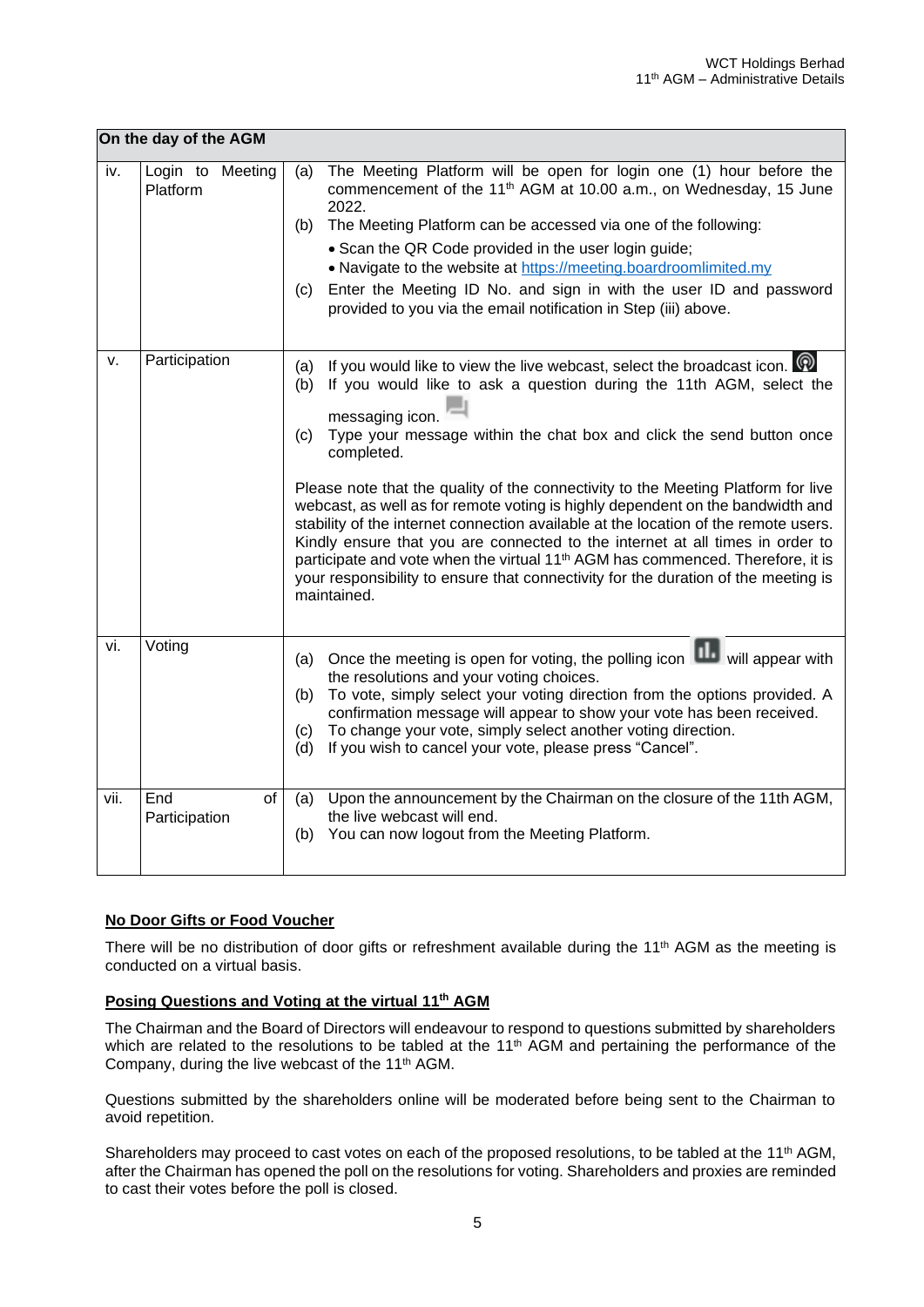|      | On the day of the AGM        |                                                                                                                                                                                                                                                                                                                                                                                                                                                                                                                                                                                                                                                                                                                                                                                                                                        |
|------|------------------------------|----------------------------------------------------------------------------------------------------------------------------------------------------------------------------------------------------------------------------------------------------------------------------------------------------------------------------------------------------------------------------------------------------------------------------------------------------------------------------------------------------------------------------------------------------------------------------------------------------------------------------------------------------------------------------------------------------------------------------------------------------------------------------------------------------------------------------------------|
| iv.  | Login to Meeting<br>Platform | The Meeting Platform will be open for login one (1) hour before the<br>(a)<br>commencement of the 11 <sup>th</sup> AGM at 10.00 a.m., on Wednesday, 15 June<br>2022.<br>The Meeting Platform can be accessed via one of the following:<br>(b)<br>• Scan the QR Code provided in the user login guide;<br>• Navigate to the website at https://meeting.boardroomlimited.my<br>Enter the Meeting ID No. and sign in with the user ID and password<br>(c)<br>provided to you via the email notification in Step (iii) above.                                                                                                                                                                                                                                                                                                              |
| v.   | Participation                | If you would like to view the live webcast, select the broadcast icon. $\Omega$<br>(a)<br>If you would like to ask a question during the 11th AGM, select the<br>(b)<br>messaging icon.<br>Type your message within the chat box and click the send button once<br>(c)<br>completed.<br>Please note that the quality of the connectivity to the Meeting Platform for live<br>webcast, as well as for remote voting is highly dependent on the bandwidth and<br>stability of the internet connection available at the location of the remote users.<br>Kindly ensure that you are connected to the internet at all times in order to<br>participate and vote when the virtual 11 <sup>th</sup> AGM has commenced. Therefore, it is<br>your responsibility to ensure that connectivity for the duration of the meeting is<br>maintained. |
| vi.  | Voting                       | Once the meeting is open for voting, the polling icon will appear with<br>(a)<br>the resolutions and your voting choices.<br>To vote, simply select your voting direction from the options provided. A<br>(b)<br>confirmation message will appear to show your vote has been received.<br>To change your vote, simply select another voting direction.<br>(c)<br>If you wish to cancel your vote, please press "Cancel".<br>(d)                                                                                                                                                                                                                                                                                                                                                                                                        |
| vii. | End<br>of<br>Participation   | Upon the announcement by the Chairman on the closure of the 11th AGM,<br>(a)<br>the live webcast will end.<br>You can now logout from the Meeting Platform.<br>(b)                                                                                                                                                                                                                                                                                                                                                                                                                                                                                                                                                                                                                                                                     |

# **No Door Gifts or Food Voucher**

There will be no distribution of door gifts or refreshment available during the 11<sup>th</sup> AGM as the meeting is conducted on a virtual basis.

## **Posing Questions and Voting at the virtual 11 th AGM**

The Chairman and the Board of Directors will endeavour to respond to questions submitted by shareholders which are related to the resolutions to be tabled at the  $11<sup>th</sup>$  AGM and pertaining the performance of the Company, during the live webcast of the 11<sup>th</sup> AGM.

Questions submitted by the shareholders online will be moderated before being sent to the Chairman to avoid repetition.

Shareholders may proceed to cast votes on each of the proposed resolutions, to be tabled at the 11<sup>th</sup> AGM, after the Chairman has opened the poll on the resolutions for voting. Shareholders and proxies are reminded to cast their votes before the poll is closed.